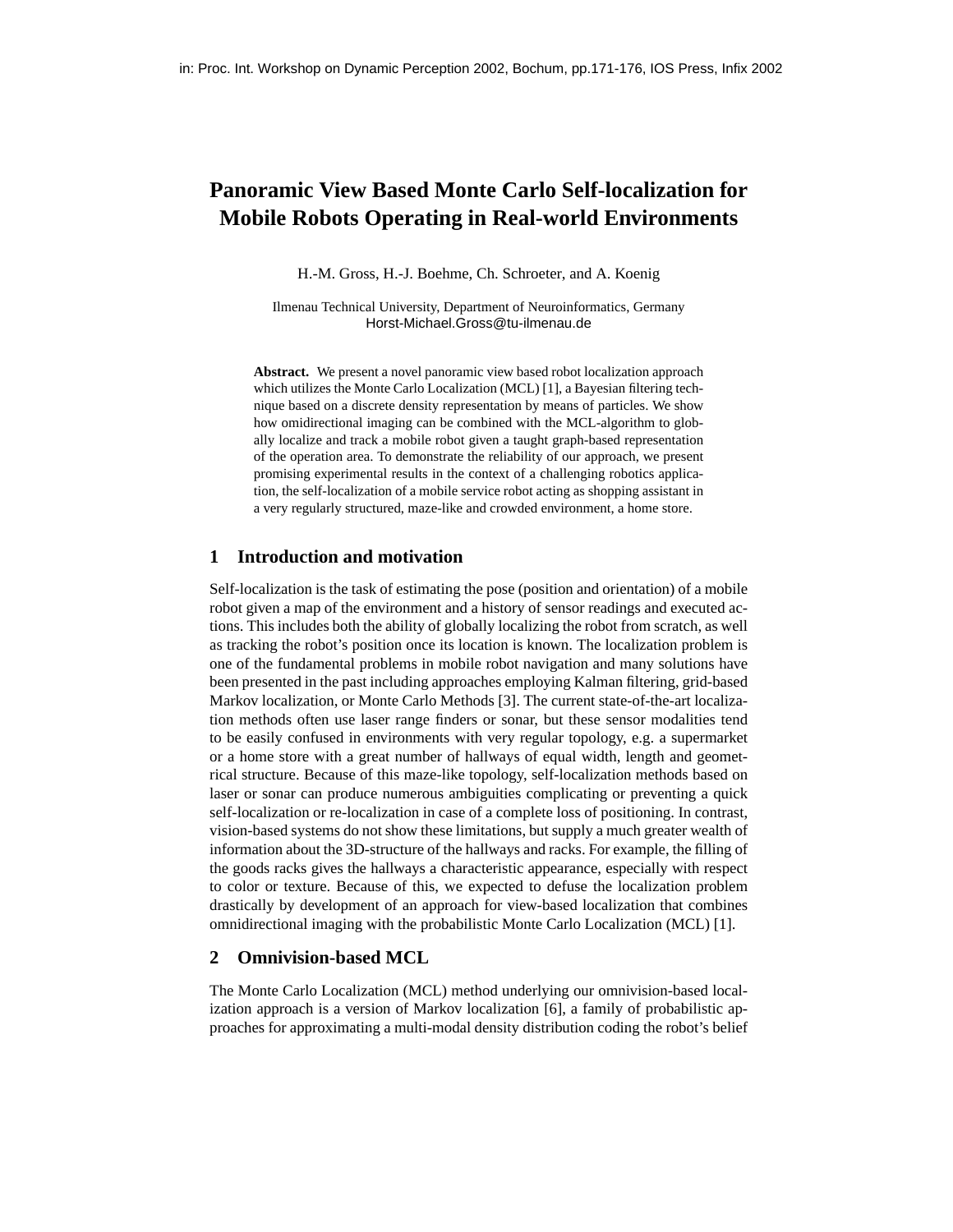# **Panoramic View Based Monte Carlo Self-localization for Mobile Robots Operating in Real-world Environments**

H.-M. Gross, H.-J. Boehme, Ch. Schroeter, and A. Koenig

Ilmenau Technical University, Department of Neuroinformatics, Germany Horst-Michael.Gross@tu-ilmenau.de

**Abstract.** We present a novel panoramic view based robot localization approach which utilizes the Monte Carlo Localization (MCL) [1], a Bayesian filtering technique based on a discrete density representation by means of particles. We show how omidirectional imaging can be combined with the MCL-algorithm to globally localize and track a mobile robot given a taught graph-based representation of the operation area. To demonstrate the reliability of our approach, we present promising experimental results in the context of a challenging robotics application, the self-localization of a mobile service robot acting as shopping assistant in a very regularly structured, maze-like and crowded environment, a home store.

## **1 Introduction and motivation**

Self-localization is the task of estimating the pose (position and orientation) of a mobile robot given a map of the environment and a history of sensor readings and executed actions. This includes both the ability of globally localizing the robot from scratch, as well as tracking the robot's position once its location is known. The localization problem is one of the fundamental problems in mobile robot navigation and many solutions have been presented in the past including approaches employing Kalman filtering, grid-based Markov localization, or Monte Carlo Methods [3]. The current state-of-the-art localization methods often use laser range finders or sonar, but these sensor modalities tend to be easily confused in environments with very regular topology, e.g. a supermarket or a home store with a great number of hallways of equal width, length and geometrical structure. Because of this maze-like topology, self-localization methods based on laser or sonar can produce numerous ambiguities complicating or preventing a quick self-localization or re-localization in case of a complete loss of positioning. In contrast, vision-based systems do not show these limitations, but supply a much greater wealth of information about the 3D-structure of the hallways and racks. For example, the filling of the goods racks gives the hallways a characteristic appearance, especially with respect to color or texture. Because of this, we expected to defuse the localization problem drastically by development of an approach for view-based localization that combines omnidirectional imaging with the probabilistic Monte Carlo Localization (MCL) [1].

## **2 Omnivision-based MCL**

The Monte Carlo Localization (MCL) method underlying our omnivision-based localization approach is a version of Markov localization [6], a family of probabilistic approaches for approximating a multi-modal density distribution coding the robot's belief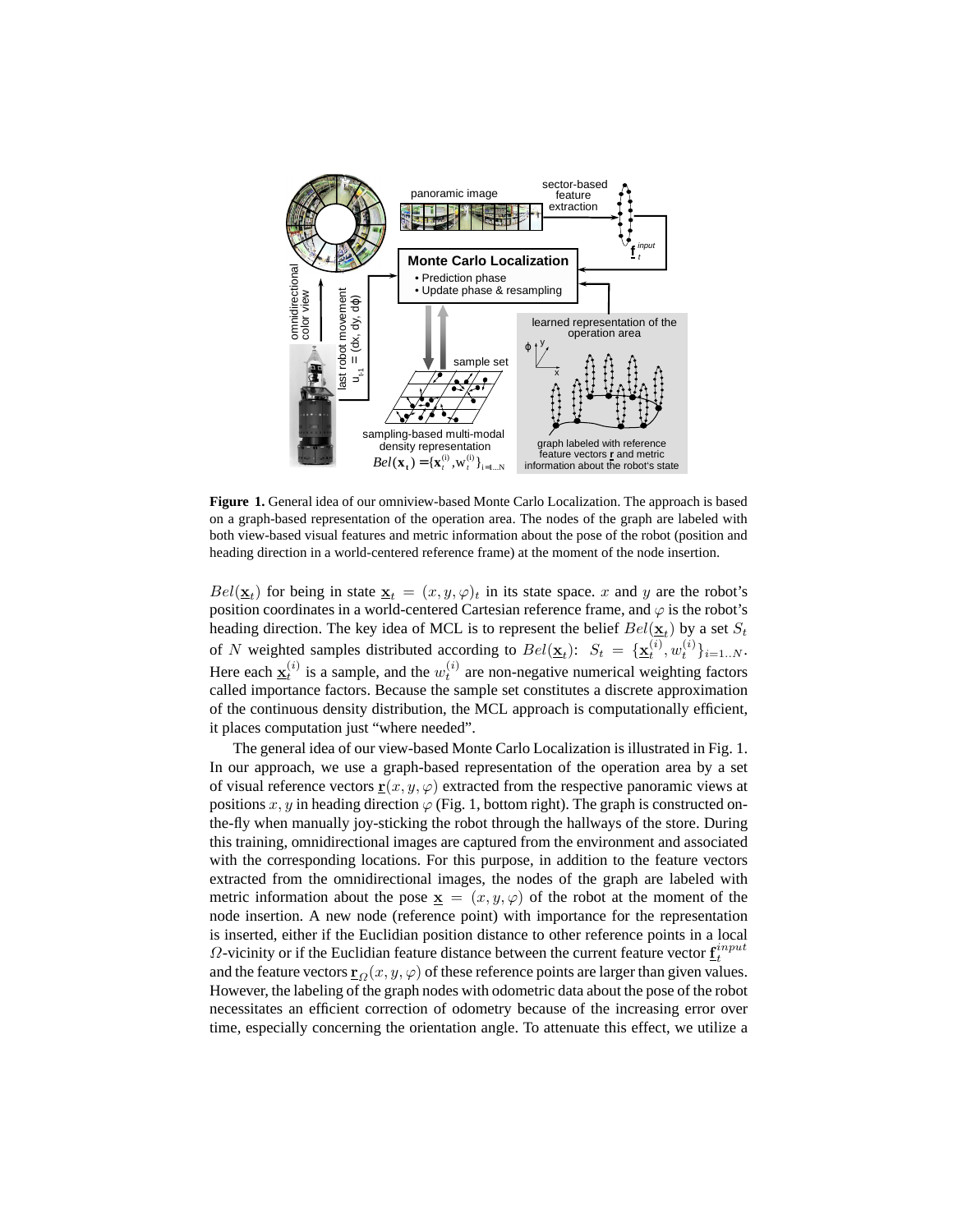

**Figure 1.** General idea of our omniview-based Monte Carlo Localization. The approach is based on a graph-based representation of the operation area. The nodes of the graph are labeled with both view-based visual features and metric information about the pose of the robot (position and heading direction in a world-centered reference frame) at the moment of the node insertion.

 $Bel(\underline{\mathbf{x}}_t)$  for being in state  $\underline{\mathbf{x}}_t = (x, y, \varphi)_t$  in its state space. x and y are the robot's position coordinates in a world-centered Cartesian reference frame, and  $\varphi$  is the robot's heading direction. The key idea of MCL is to represent the belief  $Bel(\underline{\mathbf{x}}_t)$  by a set  $S_t$ of N weighted samples distributed according to  $Bel(\underline{\mathbf{x}}_t)$ :  $S_t = {\{\underline{\mathbf{x}}_t^{(i)}, w_t^{(i)}\}_{i=1..N}}$ . Here each  $\underline{\mathbf{x}}_t^{(i)}$  is a sample, and the  $w_t^{(i)}$  are non-negative numerical weighting factors called importance factors. Because the sample set constitutes a discrete approximation of the continuous density distribution, the MCL approach is computationally efficient, it places computation just "where needed".

The general idea of our view-based Monte Carlo Localization is illustrated in Fig. 1. In our approach, we use a graph-based representation of the operation area by a set of visual reference vectors  $\underline{\mathbf{r}}(x, y, \varphi)$  extracted from the respective panoramic views at positions x, y in heading direction  $\varphi$  (Fig. 1, bottom right). The graph is constructed onthe-fly when manually joy-sticking the robot through the hallways of the store. During this training, omnidirectional images are captured from the environment and associated with the corresponding locations. For this purpose, in addition to the feature vectors extracted from the omnidirectional images, the nodes of the graph are labeled with metric information about the pose  $\underline{\mathbf{x}} = (x, y, \varphi)$  of the robot at the moment of the node insertion. A new node (reference point) with importance for the representation is inserted, either if the Euclidian position distance to other reference points in a local  $\Omega$ -vicinity or if the Euclidian feature distance between the current feature vector  $\underline{\mathbf{f}}_t^{input}$ and the feature vectors  $\underline{\mathbf{r}}_{\Omega}(x, y, \varphi)$  of these reference points are larger than given values. However, the labeling of the graph nodes with odometric data about the pose of the robot necessitates an efficient correction of odometry because of the increasing error over time, especially concerning the orientation angle. To attenuate this effect, we utilize a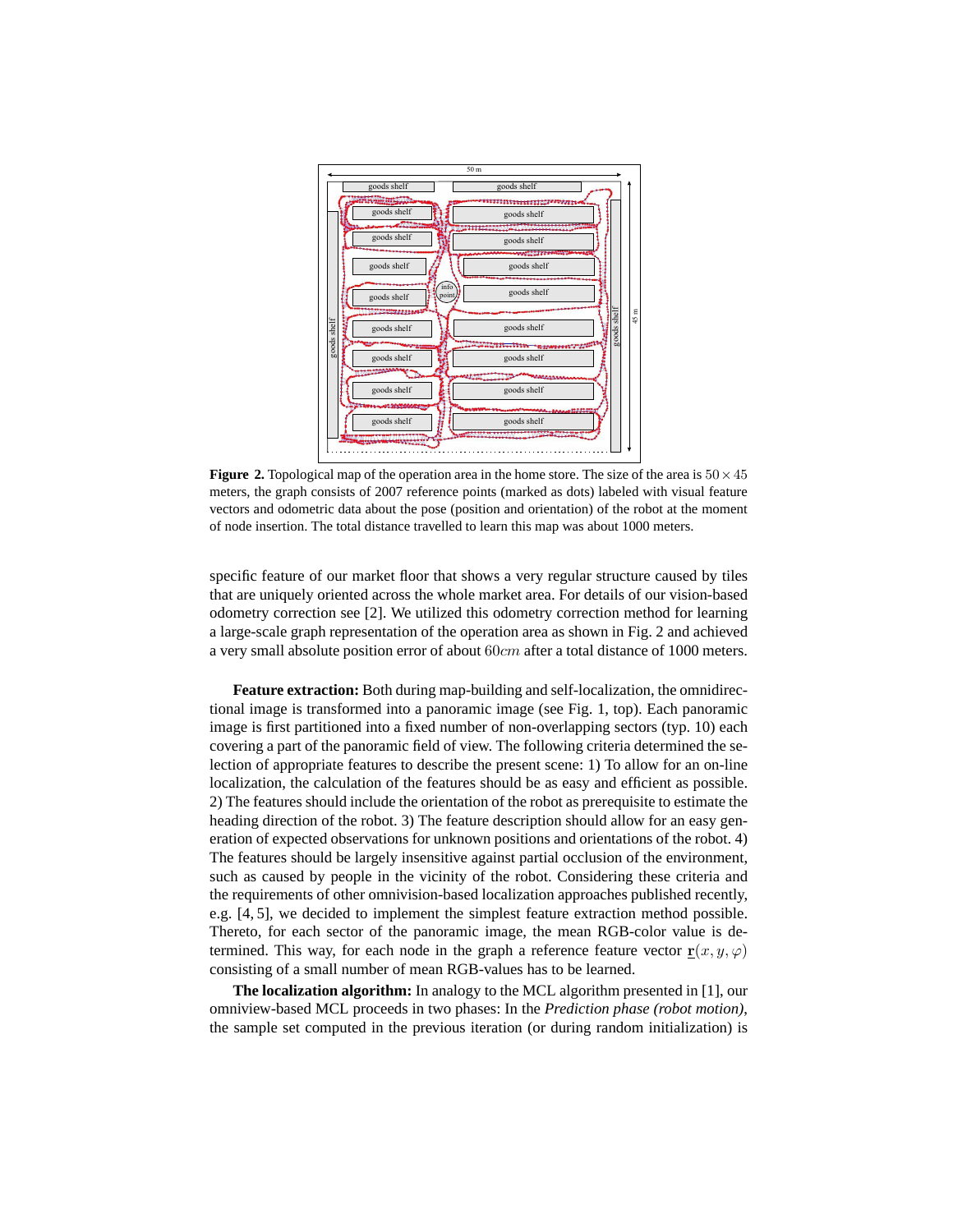

**Figure 2.** Topological map of the operation area in the home store. The size of the area is  $50 \times 45$ meters, the graph consists of 2007 reference points (marked as dots) labeled with visual feature vectors and odometric data about the pose (position and orientation) of the robot at the moment of node insertion. The total distance travelled to learn this map was about 1000 meters.

specific feature of our market floor that shows a very regular structure caused by tiles that are uniquely oriented across the whole market area. For details of our vision-based odometry correction see [2]. We utilized this odometry correction method for learning a large-scale graph representation of the operation area as shown in Fig. 2 and achieved a very small absolute position error of about 60cm after a total distance of 1000 meters.

**Feature extraction:** Both during map-building and self-localization, the omnidirectional image is transformed into a panoramic image (see Fig. 1, top). Each panoramic image is first partitioned into a fixed number of non-overlapping sectors (typ. 10) each covering a part of the panoramic field of view. The following criteria determined the selection of appropriate features to describe the present scene: 1) To allow for an on-line localization, the calculation of the features should be as easy and efficient as possible. 2) The features should include the orientation of the robot as prerequisite to estimate the heading direction of the robot. 3) The feature description should allow for an easy generation of expected observations for unknown positions and orientations of the robot. 4) The features should be largely insensitive against partial occlusion of the environment, such as caused by people in the vicinity of the robot. Considering these criteria and the requirements of other omnivision-based localization approaches published recently, e.g. [4, 5], we decided to implement the simplest feature extraction method possible. Thereto, for each sector of the panoramic image, the mean RGB-color value is determined. This way, for each node in the graph a reference feature vector  $\mathbf{r}(x, y, \varphi)$ consisting of a small number of mean RGB-values has to be learned.

**The localization algorithm:** In analogy to the MCL algorithm presented in [1], our omniview-based MCL proceeds in two phases: In the *Prediction phase (robot motion)*, the sample set computed in the previous iteration (or during random initialization) is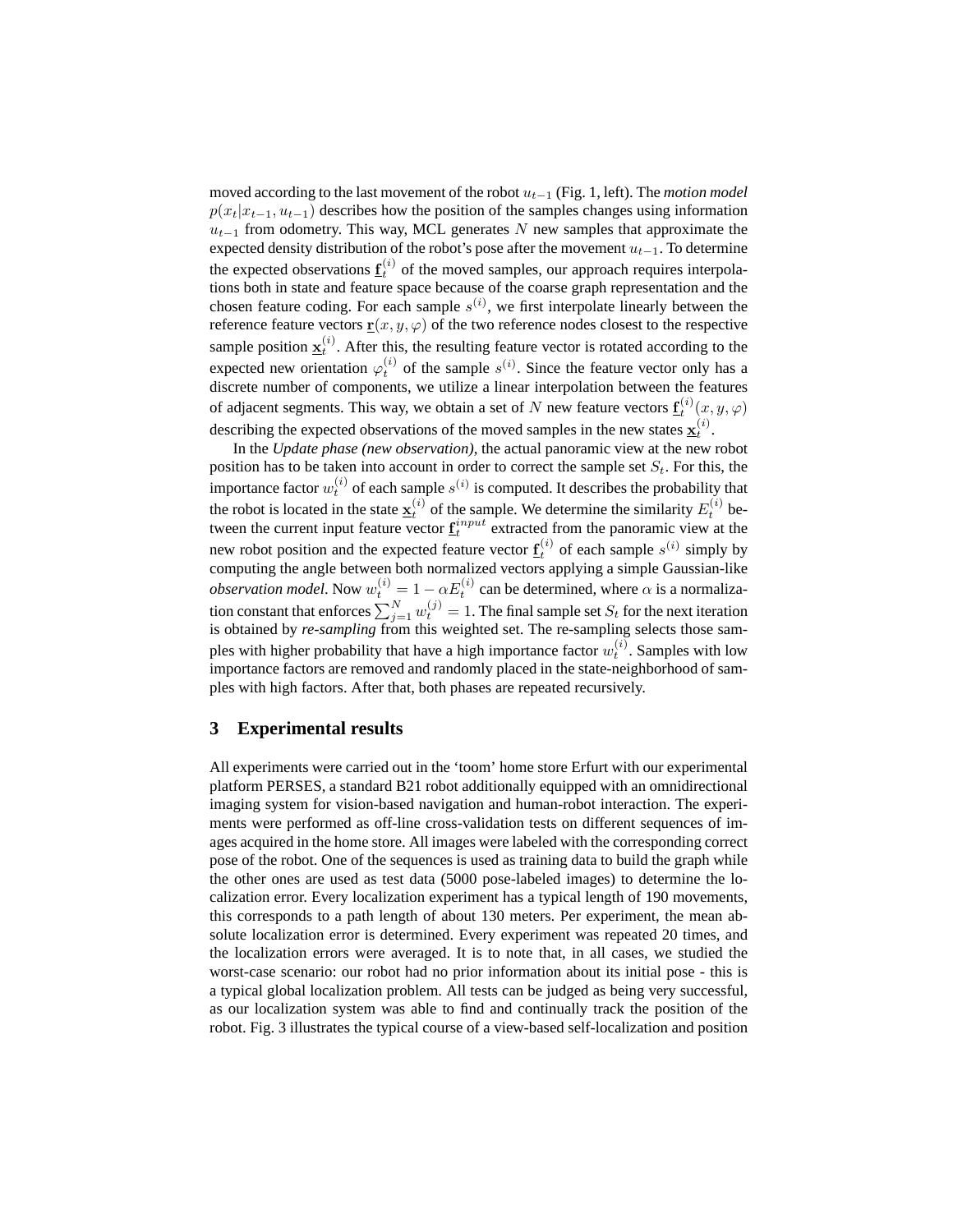moved according to the last movement of the robot  $u_{t-1}$  (Fig. 1, left). The *motion model*  $p(x_t|x_{t-1}, u_{t-1})$  describes how the position of the samples changes using information  $u_{t-1}$  from odometry. This way, MCL generates N new samples that approximate the expected density distribution of the robot's pose after the movement  $u_{t-1}$ . To determine the expected observations  $\underline{\mathbf{f}}_t^{(i)}$  of the moved samples, our approach requires interpolations both in state and feature space because of the coarse graph representation and the chosen feature coding. For each sample  $s^{(i)}$ , we first interpolate linearly between the reference feature vectors  $\underline{\mathbf{r}}(x, y, \varphi)$  of the two reference nodes closest to the respective sample position  $\underline{\mathbf{x}}_t^{(i)}$ . After this, the resulting feature vector is rotated according to the expected new orientation  $\varphi_t^{(i)}$  of the sample  $s^{(i)}$ . Since the feature vector only has a discrete number of components, we utilize a linear interpolation between the features of adjacent segments. This way, we obtain a set of N new feature vectors  $\underline{\mathbf{f}}_t^{(i)}(x, y, \varphi)$ describing the expected observations of the moved samples in the new states  $\underline{x}_t^{(i)}$ .

In the *Update phase (new observation)*, the actual panoramic view at the new robot position has to be taken into account in order to correct the sample set  $S_t$ . For this, the importance factor  $w_t^{(i)}$  of each sample  $s^{(i)}$  is computed. It describes the probability that the robot is located in the state  $\underline{\mathbf{x}}_t^{(i)}$  of the sample. We determine the similarity  $E_t^{(i)}$  between the current input feature vector  $\underline{f}^{input}_t$  extracted from the panoramic view at the new robot position and the expected feature vector  $\underline{f}_t^{(i)}$  of each sample  $s^{(i)}$  simply by computing the angle between both normalized vectors applying a simple Gaussian-like *observation model*. Now  $w_t^{(i)} = 1 - \alpha E_t^{(i)}$  can be determined, where  $\alpha$  is a normalization constant that enforces  $\sum_{j=1}^{N} w_t^{(j)} = 1$ . The final sample set  $S_t$  for the next iteration is obtained by *re-sampling* from this weighted set. The re-sampling selects those samples with higher probability that have a high importance factor  $w_t^{(i)}$ . Samples with low importance factors are removed and randomly placed in the state-neighborhood of samples with high factors. After that, both phases are repeated recursively.

## **3 Experimental results**

All experiments were carried out in the 'toom' home store Erfurt with our experimental platform PERSES, a standard B21 robot additionally equipped with an omnidirectional imaging system for vision-based navigation and human-robot interaction. The experiments were performed as off-line cross-validation tests on different sequences of images acquired in the home store. All images were labeled with the corresponding correct pose of the robot. One of the sequences is used as training data to build the graph while the other ones are used as test data (5000 pose-labeled images) to determine the localization error. Every localization experiment has a typical length of 190 movements, this corresponds to a path length of about 130 meters. Per experiment, the mean absolute localization error is determined. Every experiment was repeated 20 times, and the localization errors were averaged. It is to note that, in all cases, we studied the worst-case scenario: our robot had no prior information about its initial pose - this is a typical global localization problem. All tests can be judged as being very successful, as our localization system was able to find and continually track the position of the robot. Fig. 3 illustrates the typical course of a view-based self-localization and position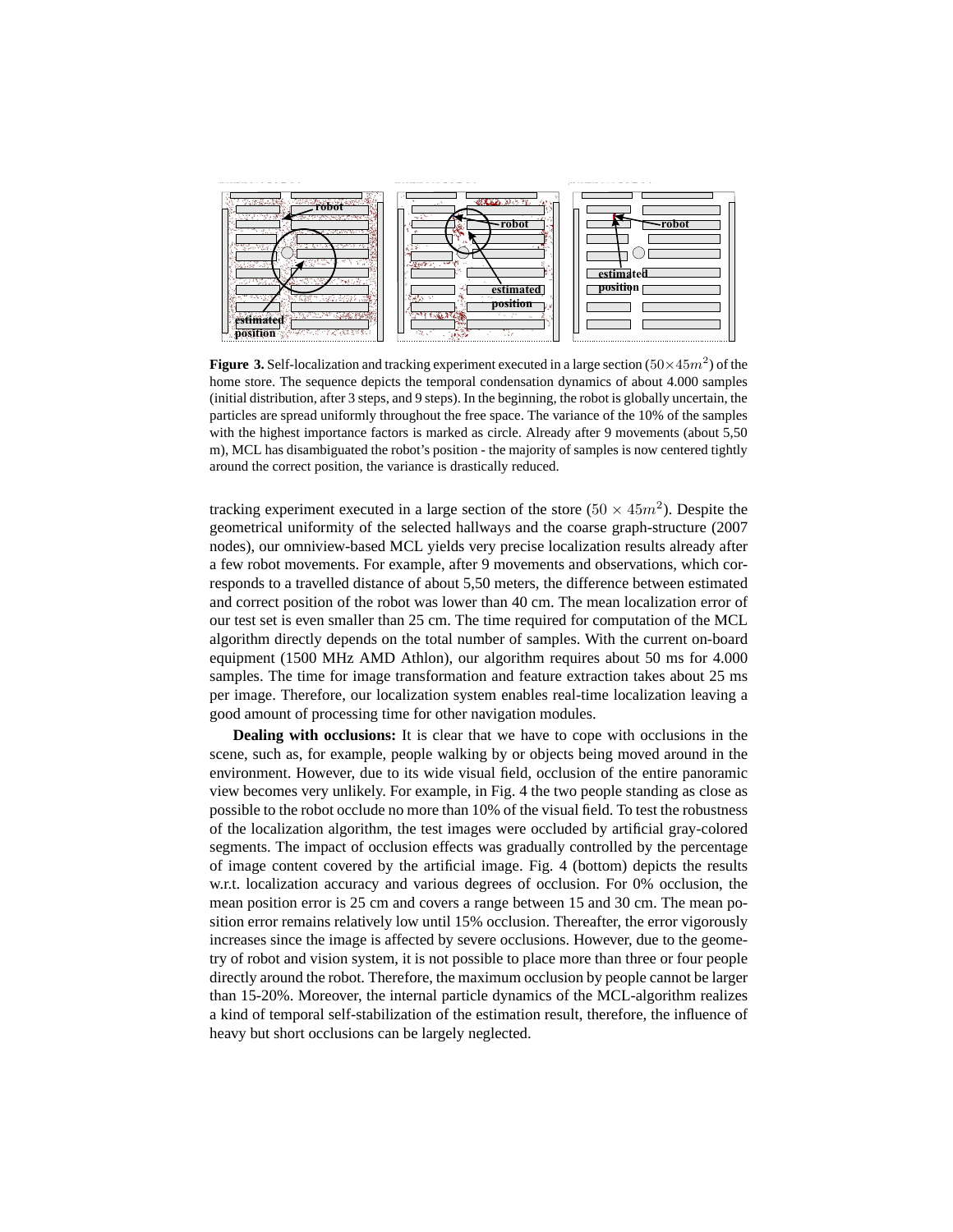

**Figure 3.** Self-localization and tracking experiment executed in a large section  $(50 \times 45m^2)$  of the home store. The sequence depicts the temporal condensation dynamics of about 4.000 samples (initial distribution, after 3 steps, and 9 steps). In the beginning, the robot is globally uncertain, the particles are spread uniformly throughout the free space. The variance of the 10% of the samples with the highest importance factors is marked as circle. Already after 9 movements (about 5,50 m), MCL has disambiguated the robot's position - the majority of samples is now centered tightly around the correct position, the variance is drastically reduced.

tracking experiment executed in a large section of the store  $(50 \times 45m^2)$ . Despite the geometrical uniformity of the selected hallways and the coarse graph-structure (2007 nodes), our omniview-based MCL yields very precise localization results already after a few robot movements. For example, after 9 movements and observations, which corresponds to a travelled distance of about 5,50 meters, the difference between estimated and correct position of the robot was lower than 40 cm. The mean localization error of our test set is even smaller than 25 cm. The time required for computation of the MCL algorithm directly depends on the total number of samples. With the current on-board equipment (1500 MHz AMD Athlon), our algorithm requires about 50 ms for 4.000 samples. The time for image transformation and feature extraction takes about 25 ms per image. Therefore, our localization system enables real-time localization leaving a good amount of processing time for other navigation modules.

**Dealing with occlusions:** It is clear that we have to cope with occlusions in the scene, such as, for example, people walking by or objects being moved around in the environment. However, due to its wide visual field, occlusion of the entire panoramic view becomes very unlikely. For example, in Fig. 4 the two people standing as close as possible to the robot occlude no more than 10% of the visual field. To test the robustness of the localization algorithm, the test images were occluded by artificial gray-colored segments. The impact of occlusion effects was gradually controlled by the percentage of image content covered by the artificial image. Fig. 4 (bottom) depicts the results w.r.t. localization accuracy and various degrees of occlusion. For 0% occlusion, the mean position error is 25 cm and covers a range between 15 and 30 cm. The mean position error remains relatively low until 15% occlusion. Thereafter, the error vigorously increases since the image is affected by severe occlusions. However, due to the geometry of robot and vision system, it is not possible to place more than three or four people directly around the robot. Therefore, the maximum occlusion by people cannot be larger than 15-20%. Moreover, the internal particle dynamics of the MCL-algorithm realizes a kind of temporal self-stabilization of the estimation result, therefore, the influence of heavy but short occlusions can be largely neglected.